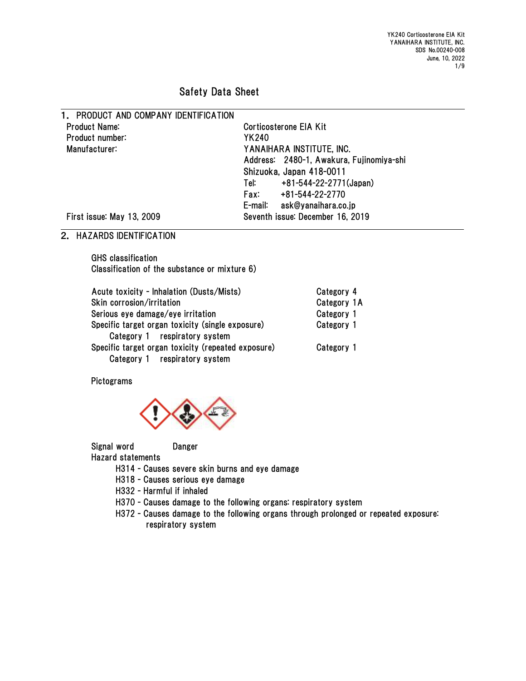YK240 Corticosterone EIA Kit YANAIHARA INSTITUTE, INC. SDS No.00240-008 June, 10, 2022 1/9

# Safety Data Sheet

1. PRODUCT AND COMPANY IDENTIFICATION Product Name: Corticosterone EIA Kit Product number: YK240 Manufacturer: YANAIHARA INSTITUTE, INC. Address: 2480-1, Awakura, Fujinomiya-shi Shizuoka, Japan 418-0011 Tel: +81-544-22-2771(Japan) Fax: +81-544-22-2770 E-mail: ask@yanaihara.co.jp First issue: May 13, 2009 Seventh issue: December 16, 2019

## 2. HAZARDS IDENTIFICATION

GHS classification Classification of the substance or mixture 6)

| Acute toxicity - Inhalation (Dusts/Mists)                                           | Category 4  |
|-------------------------------------------------------------------------------------|-------------|
| Skin corrosion/irritation                                                           | Category 1A |
| Serious eye damage/eye irritation                                                   | Category 1  |
| Specific target organ toxicity (single exposure)<br>Category 1 respiratory system   | Category 1  |
| Specific target organ toxicity (repeated exposure)<br>Category 1 respiratory system | Category 1  |

Pictograms



Signal word Danger Hazard statements

- H314 Causes severe skin burns and eye damage
- H318 Causes serious eye damage
- H332 Harmful if inhaled
- H370 Causes damage to the following organs: respiratory system
- H372 Causes damage to the following organs through prolonged or repeated exposure: respiratory system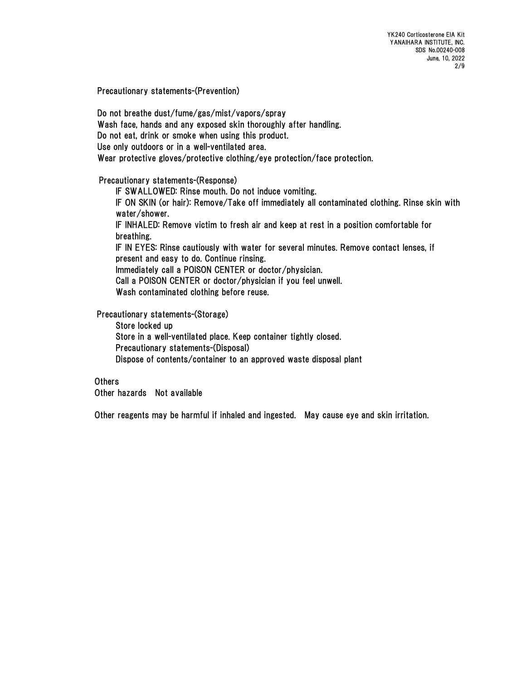YK240 Corticosterone EIA Kit YANAIHARA INSTITUTE, INC. SDS No.00240-008 June, 10, 2022 2/9

Precautionary statements-(Prevention)

Do not breathe dust/fume/gas/mist/vapors/spray Wash face, hands and any exposed skin thoroughly after handling. Do not eat, drink or smoke when using this product. Use only outdoors or in a well-ventilated area. Wear protective gloves/protective clothing/eye protection/face protection.

#### Precautionary statements-(Response)

IF SWALLOWED: Rinse mouth. Do not induce vomiting. IF ON SKIN (or hair): Remove/Take off immediately all contaminated clothing. Rinse skin with water/shower. IF INHALED: Remove victim to fresh air and keep at rest in a position comfortable for breathing. IF IN EYES: Rinse cautiously with water for several minutes. Remove contact lenses, if present and easy to do. Continue rinsing. Immediately call a POISON CENTER or doctor/physician. Call a POISON CENTER or doctor/physician if you feel unwell. Wash contaminated clothing before reuse.

Precautionary statements-(Storage)

Store locked up Store in a well-ventilated place. Keep container tightly closed. Precautionary statements-(Disposal) Dispose of contents/container to an approved waste disposal plant

### **Others**

Other hazards Not available

Other reagents may be harmful if inhaled and ingested. May cause eye and skin irritation.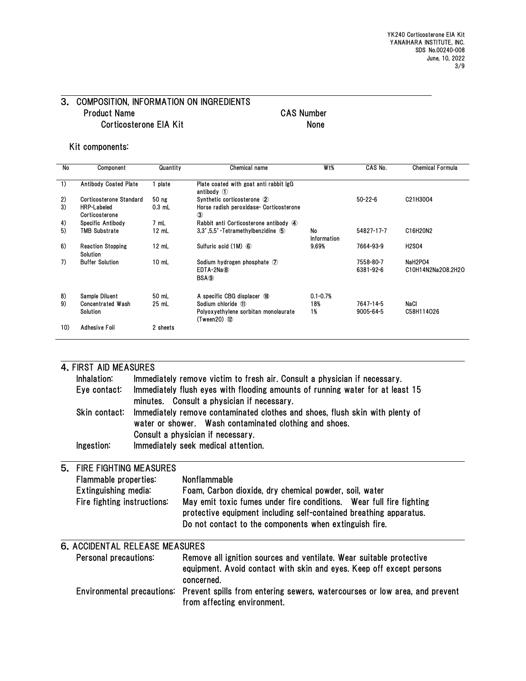#### 3. COMPOSITION, INFORMATION ON INGREDIENTS Product Name CAS Number Corticosterone EIA Kit
None

#### Kit components:

| <b>No</b> | Component                            | Quantity | Chemical name                                                                        | W <sub>t</sub> %  | CAS No.                | <b>Chemical Formula</b>       |
|-----------|--------------------------------------|----------|--------------------------------------------------------------------------------------|-------------------|------------------------|-------------------------------|
| 1)        | <b>Antibody Coated Plate</b>         | plate    | Plate coated with goat anti rabbit IgG<br>antibody $\circled{1}$                     |                   |                        |                               |
| 2)        | Corticosterone Standard              | 50 ng    | Synthetic corticosterone 2                                                           |                   | $50 - 22 - 6$          | C21H3004                      |
| 3)        | <b>HRP-Labeled</b><br>Corticosterone | $0.3$ mL | Horse radish peroxidase- Corticosterone<br>$\circled{3}$                             |                   |                        |                               |
| 4)        | Specific Antibody                    | 7 mL     | Rabbit anti Corticosterone antibody 4                                                |                   |                        |                               |
| 5)        | <b>TMB Substrate</b>                 | 12 mL    | 3.3'.5.5'-Tetramethylbenzidine 5                                                     | No<br>Information | 54827-17-7             | C16H20N2                      |
| 6)        | <b>Reaction Stopping</b><br>Solution | 12 mL    | Sulfuric acid (1M) 6                                                                 | 9.69%             | 7664-93-9              | <b>H2SO4</b>                  |
| 7)        | <b>Buffer Solution</b>               | $10$ mL  | Sodium hydrogen phosphate $\mathcal D$<br>$EDTA-2Na(8)$<br>BSA <sub>(9)</sub>        |                   | 7558-80-7<br>6381-92-6 | NaH2PO4<br>C10H14N2Na2O8.2H2O |
| 8)        | Sample Diluent                       | 50 mL    | A specific CBG displacer 10                                                          | $0.1 - 0.7%$      |                        |                               |
| 9)        | <b>Concentrated Wash</b><br>Solution | 25 mL    | Sodium chloride 11<br>Polyoxyethylene sorbitan monolaurate<br>$(T$ ween $20)$ $(12)$ | 18%<br>1%         | 7647-14-5<br>9005-64-5 | NaCl<br>C58H114026            |
| 10)       | Adhesive Foil                        | 2 sheets |                                                                                      |                   |                        |                               |

|                                                              | 4. FIRST AID MEASURES                 |                                                                                                                                        |                                                                                                                                                                                                     |  |  |  |
|--------------------------------------------------------------|---------------------------------------|----------------------------------------------------------------------------------------------------------------------------------------|-----------------------------------------------------------------------------------------------------------------------------------------------------------------------------------------------------|--|--|--|
|                                                              | Inhalation:                           |                                                                                                                                        | Immediately remove victim to fresh air. Consult a physician if necessary.                                                                                                                           |  |  |  |
|                                                              | Eye contact:                          |                                                                                                                                        | Immediately flush eyes with flooding amounts of running water for at least 15<br>minutes. Consult a physician if necessary.                                                                         |  |  |  |
|                                                              | Skin contact:                         | Immediately remove contaminated clothes and shoes, flush skin with plenty of<br>water or shower. Wash contaminated clothing and shoes. |                                                                                                                                                                                                     |  |  |  |
|                                                              |                                       |                                                                                                                                        | Consult a physician if necessary.                                                                                                                                                                   |  |  |  |
|                                                              | Ingestion:                            |                                                                                                                                        | Immediately seek medical attention.                                                                                                                                                                 |  |  |  |
| <b>FIRE FIGHTING MEASURES</b><br>5.<br>Flammable properties: |                                       |                                                                                                                                        |                                                                                                                                                                                                     |  |  |  |
|                                                              |                                       |                                                                                                                                        | Nonflammable                                                                                                                                                                                        |  |  |  |
|                                                              | Extinguishing media:                  |                                                                                                                                        | Foam, Carbon dioxide, dry chemical powder, soil, water                                                                                                                                              |  |  |  |
|                                                              | Fire fighting instructions:           |                                                                                                                                        | May emit toxic fumes under fire conditions. Wear full fire fighting<br>protective equipment including self-contained breathing apparatus.<br>Do not contact to the components when extinguish fire. |  |  |  |
|                                                              | <b>6. ACCIDENTAL RELEASE MEASURES</b> |                                                                                                                                        |                                                                                                                                                                                                     |  |  |  |
|                                                              | Personal precautions:                 |                                                                                                                                        | Remove all ignition sources and ventilate. Wear suitable protective<br>equipment. Avoid contact with skin and eyes. Keep off except persons<br>concerned.                                           |  |  |  |
|                                                              |                                       |                                                                                                                                        | Environmental precautions: Prevent spills from entering sewers, watercourses or low area, and prevent<br>from affecting environment.                                                                |  |  |  |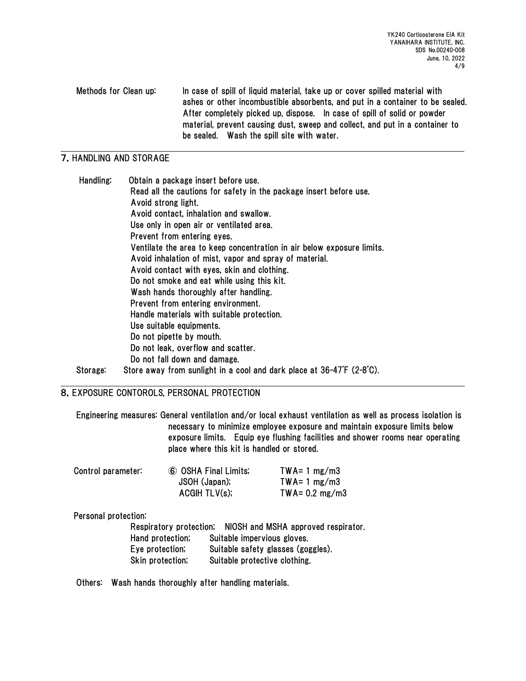Methods for Clean up: In case of spill of liquid material, take up or cover spilled material with ashes or other incombustible absorbents, and put in a container to be sealed. After completely picked up, dispose. In case of spill of solid or powder material, prevent causing dust, sweep and collect, and put in a container to be sealed. Wash the spill site with water.

# 7.HANDLING AND STORAGE

| Handling: | Obtain a package insert before use.                                    |
|-----------|------------------------------------------------------------------------|
|           | Read all the cautions for safety in the package insert before use.     |
|           | Avoid strong light.                                                    |
|           | Avoid contact, inhalation and swallow.                                 |
|           | Use only in open air or ventilated area.                               |
|           | Prevent from entering eyes.                                            |
|           | Ventilate the area to keep concentration in air below exposure limits. |
|           | Avoid inhalation of mist, vapor and spray of material.                 |
|           | Avoid contact with eyes, skin and clothing.                            |
|           | Do not smoke and eat while using this kit.                             |
|           | Wash hands thoroughly after handling.                                  |
|           | Prevent from entering environment.                                     |
|           | Handle materials with suitable protection.                             |
|           | Use suitable equipments.                                               |
|           | Do not pipette by mouth.                                               |
|           | Do not leak, overflow and scatter.                                     |
|           | Do not fall down and damage.                                           |
| Storage:  | Store away from sunlight in a cool and dark place at 36-47°F (2-8°C).  |

## 8.EXPOSURE CONTOROLS, PERSONAL PROTECTION

Engineering measures: General ventilation and/or local exhaust ventilation as well as process isolation is necessary to minimize employee exposure and maintain exposure limits below exposure limits. Equip eye flushing facilities and shower rooms near operating place where this kit is handled or stored.

| Control parameter: | 6 OSHA Final Limits; | $TWA = 1 mg/m3$          |
|--------------------|----------------------|--------------------------|
|                    | JSOH (Japan);        | $TWA = 1 mg/m3$          |
|                    | ACGIH TLV(s);        | TWA= $0.2 \text{ mg/m3}$ |

### Personal protection:

Respiratory protection; NIOSH and MSHA approved respirator. Hand protection; Suitable impervious gloves. Eye protection; Suitable safety glasses (goggles). Skin protection; Suitable protective clothing.

Others: Wash hands thoroughly after handling materials.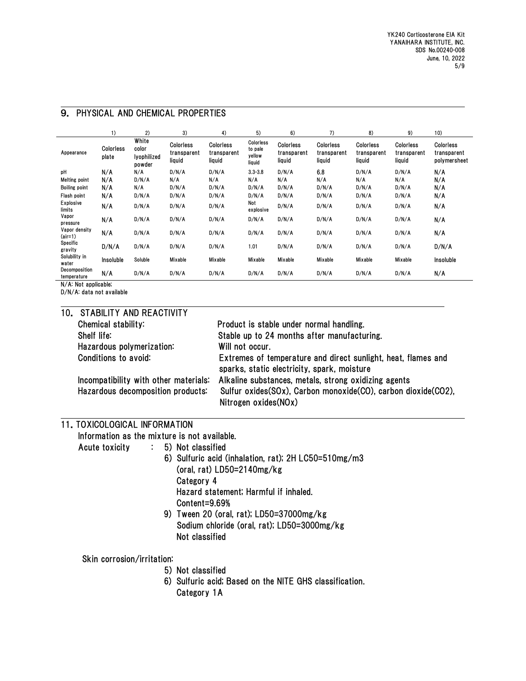| 9. PHYSICAL AND CHEMICAL PROPERTIES |
|-------------------------------------|
|-------------------------------------|

|                                                  | 1)                        | 2)                                      | 3)                                        | 4)                                 | 5)                                       | 6)                                 | 7)                                 | 8)                                 | 9)                                 | 10)                                      |
|--------------------------------------------------|---------------------------|-----------------------------------------|-------------------------------------------|------------------------------------|------------------------------------------|------------------------------------|------------------------------------|------------------------------------|------------------------------------|------------------------------------------|
| Appearance                                       | <b>Colorless</b><br>plate | White<br>color<br>lyophilized<br>powder | <b>Colorless</b><br>transparent<br>liquid | Colorless<br>transparent<br>liquid | Colorless<br>to pale<br>yellow<br>liquid | Colorless<br>transparent<br>liquid | Colorless<br>transparent<br>liquid | Colorless<br>transparent<br>liquid | Colorless<br>transparent<br>liquid | Colorless<br>transparent<br>polymersheet |
| рH                                               | N/A                       | N/A                                     | D/N/A                                     | D/N/A                              | $3.3 - 3.8$                              | D/N/A                              | 6.8                                | D/N/A                              | D/N/A                              | N/A                                      |
| <b>Melting point</b>                             | N/A                       | D/N/A                                   | N/A                                       | N/A                                | N/A                                      | N/A                                | N/A                                | N/A                                | N/A                                | N/A                                      |
| <b>Boiling point</b>                             | N/A                       | N/A                                     | D/N/A                                     | D/N/A                              | D/N/A                                    | D/N/A                              | D/N/A                              | D/N/A                              | D/N/A                              | N/A                                      |
| Flash point                                      | N/A                       | D/N/A                                   | D/N/A                                     | D/N/A                              | D/N/A                                    | D/N/A                              | D/N/A                              | D/N/A                              | D/N/A                              | N/A                                      |
| Explosive<br>limits                              | N/A                       | D/N/A                                   | D/N/A                                     | D/N/A                              | Not<br>explosive                         | D/N/A                              | D/N/A                              | D/N/A                              | D/N/A                              | N/A                                      |
| Vapor<br>pressure                                | N/A                       | D/N/A                                   | D/N/A                                     | D/N/A                              | D/N/A                                    | D/N/A                              | D/N/A                              | D/N/A                              | D/N/A                              | N/A                                      |
| Vapor density<br>(air=1)                         | N/A                       | D/N/A                                   | D/N/A                                     | D/N/A                              | D/N/A                                    | D/N/A                              | D/N/A                              | D/N/A                              | D/N/A                              | N/A                                      |
| Specific<br>gravity                              | D/N/A                     | D/N/A                                   | D/N/A                                     | D/N/A                              | 1.01                                     | D/N/A                              | D/N/A                              | D/N/A                              | D/N/A                              | D/N/A                                    |
| Solubility in<br>water                           | Insoluble                 | Soluble                                 | Mixable                                   | Mixable                            | Mixable                                  | Mixable                            | Mixable                            | Mixable                            | Mixable                            | Insoluble                                |
| Decomposition<br>temperature<br>1174.111.77.11.1 | N/A                       | D/N/A                                   | D/N/A                                     | D/N/A                              | D/N/A                                    | D/N/A                              | D/N/A                              | D/N/A                              | D/N/A                              | N/A                                      |

N/A: Not applicable;

D/N/A: data not available

| 10. STABILITY AND REACTIVITY          |                                                                                                              |
|---------------------------------------|--------------------------------------------------------------------------------------------------------------|
| Chemical stability:                   | Product is stable under normal handling.                                                                     |
| Shelf life:                           | Stable up to 24 months after manufacturing.                                                                  |
| Hazardous polymerization:             | Will not occur.                                                                                              |
| Conditions to avoid:                  | Extremes of temperature and direct sunlight, heat, flames and<br>sparks, static electricity, spark, moisture |
| Incompatibility with other materials: | Alkaline substances, metals, strong oxidizing agents                                                         |
| Hazardous decomposition products:     | Sulfur oxides(SOx), Carbon monoxide(CO), carbon dioxide(CO2),<br>Nitrogen oxides(NOx)                        |

#### 11.TOXICOLOGICAL INFORMATION

Information as the mixture is not available.

Acute toxicity : 5) Not classified

- 6) Sulfuric acid (inhalation, rat); 2H LC50=510mg/m3 (oral, rat) LD50=2140mg/kg Category 4 Hazard statement; Harmful if inhaled. Content=9.69%
- 9) Tween 20 (oral, rat); LD50=37000mg/kg Sodium chloride (oral, rat); LD50=3000mg/kg Not classified

### Skin corrosion/irritation:

- 5) Not classified
- 6) Sulfuric acid; Based on the NITE GHS classification. Category 1A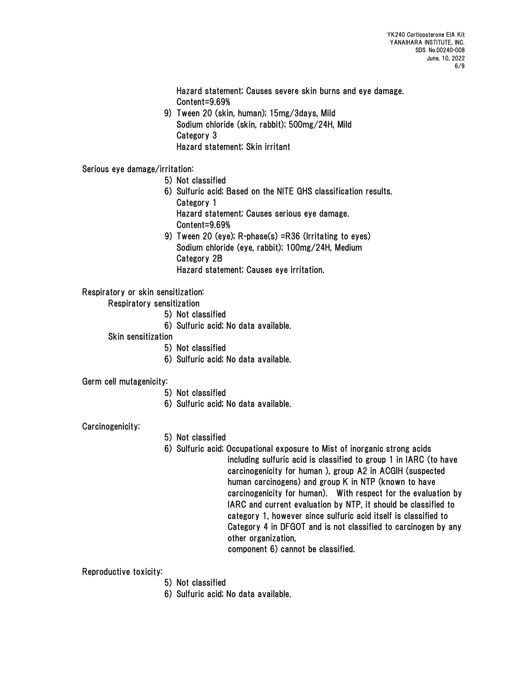Hazard statement; Causes severe skin burns and eye damage. Content=9.69%

 9) Tween 20 (skin, human); 15mg/3days, Mild Sodium chloride (skin, rabbit); 500mg/24H, Mild Category 3 Hazard statement; Skin irritant

Serious eye damage/irritation:

5) Not classified

- 6) Sulfuric acid; Based on the NITE GHS classification results. Category 1 Hazard statement; Causes serious eye damage.
- Content=9.69%
- 9) Tween 20 (eye); R-phase(s) =R36 (Irritating to eyes) Sodium chloride (eye, rabbit); 100mg/24H, Medium Category 2B Hazard statement; Causes eye irritation.

Respiratory or skin sensitization:

Respiratory sensitization

- 5) Not classified
- 6) Sulfuric acid; No data available.

Skin sensitization

- 5) Not classified
- 6) Sulfuric acid; No data available.

Germ cell mutagenicity:

- 5) Not classified
- 6) Sulfuric acid; No data available.

Carcinogenicity:

- 5) Not classified
- 6) Sulfuric acid; Occupational exposure to Mist of inorganic strong acids including sulfuric acid is classified to group 1 in IARC (to have carcinogenicity for human ), group A2 in ACGIH (suspected human carcinogens) and group K in NTP (known to have carcinogenicity for human). With respect for the evaluation by IARC and current evaluation by NTP, it should be classified to category 1, however since sulfuric acid itself is classified to Category 4 in DFGOT and is not classified to carcinogen by any other organization,

component 6) cannot be classified.

Reproductive toxicity:

- 5) Not classified
- 6) Sulfuric acid; No data available.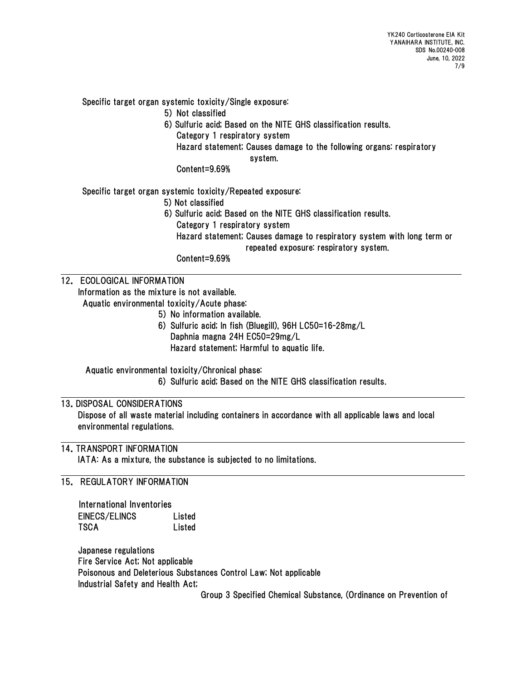Specific target organ systemic toxicity/Single exposure:

- 5) Not classified
- 6) Sulfuric acid; Based on the NITE GHS classification results.
	- Category 1 respiratory system
	- Hazard statement; Causes damage to the following organs: respiratory

system.

Content=9.69%

Specific target organ systemic toxicity/Repeated exposure:

- 5) Not classified
- 6) Sulfuric acid; Based on the NITE GHS classification results.
	- Category 1 respiratory system
	- Hazard statement; Causes damage to respiratory system with long term or repeated exposure: respiratory system.

Content=9.69%

# 12. ECOLOGICAL INFORMATION

 Information as the mixture is not available. Aquatic environmental toxicity/Acute phase:

- 5) No information available.
- 6) Sulfuric acid; In fish (Bluegill), 96H LC50=16-28mg/L Daphnia magna 24H EC50=29mg/L Hazard statement; Harmful to aquatic life.

Aquatic environmental toxicity/Chronical phase: 6) Sulfuric acid; Based on the NITE GHS classification results.

## 13.DISPOSAL CONSIDERATIONS

Dispose of all waste material including containers in accordance with all applicable laws and local environmental regulations.

### 14.TRANSPORT INFORMATION

IATA: As a mixture, the substance is subjected to no limitations.

15. REGULATORY INFORMATION

| International Inventories |        |
|---------------------------|--------|
| EINECS/ELINCS             | Listed |
| TSCA                      | Listed |

Japanese regulations Fire Service Act; Not applicable Poisonous and Deleterious Substances Control Law; Not applicable Industrial Safety and Health Act;

Group 3 Specified Chemical Substance, (Ordinance on Prevention of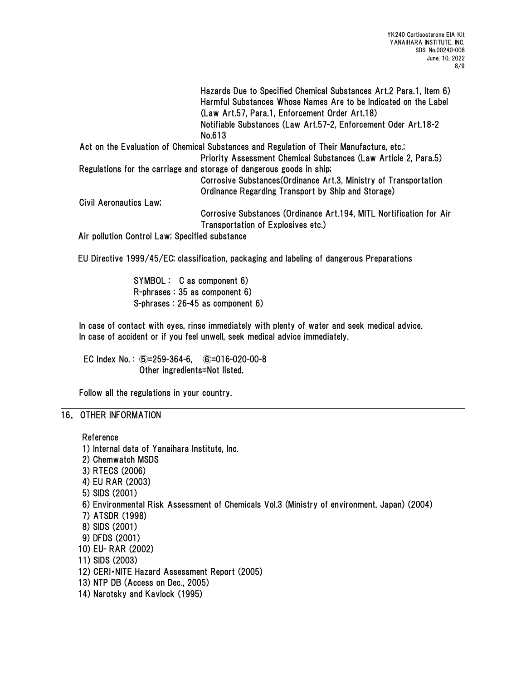|                                                | Hazards Due to Specified Chemical Substances Art. 2 Para. 1, Item 6)<br>Harmful Substances Whose Names Are to be Indicated on the Label<br>(Law Art.57, Para.1, Enforcement Order Art.18) |
|------------------------------------------------|-------------------------------------------------------------------------------------------------------------------------------------------------------------------------------------------|
|                                                | Notifiable Substances (Law Art.57-2, Enforcement Oder Art.18-2                                                                                                                            |
|                                                | No.613                                                                                                                                                                                    |
|                                                | Act on the Evaluation of Chemical Substances and Regulation of Their Manufacture, etc.;                                                                                                   |
|                                                | Priority Assessment Chemical Substances (Law Article 2, Para.5)                                                                                                                           |
|                                                | Regulations for the carriage and storage of dangerous goods in ship;                                                                                                                      |
|                                                | Corrosive Substances (Ordinance Art.3, Ministry of Transportation                                                                                                                         |
|                                                | Ordinance Regarding Transport by Ship and Storage)                                                                                                                                        |
| Civil Aeronautics Law;                         |                                                                                                                                                                                           |
|                                                | Corrosive Substances (Ordinance Art.194, MITL Nortification for Air                                                                                                                       |
|                                                | Transportation of Explosives etc.)                                                                                                                                                        |
| Air pollution Control Law; Specified substance |                                                                                                                                                                                           |

EU Directive 1999/45/EC; classification, packaging and labeling of dangerous Preparations

SYMBOL : C as component 6) R-phrases : 35 as component 6) S-phrases : 26-45 as component 6)

In case of contact with eyes, rinse immediately with plenty of water and seek medical advice. In case of accident or if you feel unwell, seek medical advice immediately.

EC index No. : ⑤=259-364-6, ⑥=016-020-00-8 Other ingredients=Not listed.

Follow all the regulations in your country.

#### 16. OTHER INFORMATION

Reference

1) Internal data of Yanaihara Institute, Inc. 2) Chemwatch MSDS 3) RTECS (2006) 4) EU RAR (2003) 5) SIDS (2001) 6) Environmental Risk Assessment of Chemicals Vol.3 (Ministry of environment, Japan) (2004) 7) ATSDR (1998) 8) SIDS (2001) 9) DFDS (2001) 10) EU- RAR (2002) 11) SIDS (2003) 12) CERI・NITE Hazard Assessment Report (2005) 13) NTP DB (Access on Dec., 2005) 14) Narotsky and Kavlock (1995)